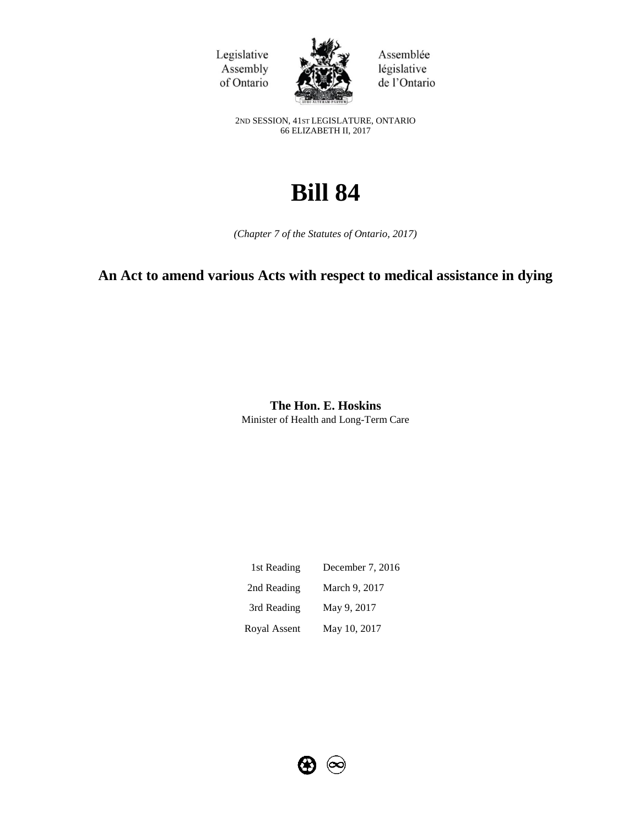Legislative Assembly of Ontario



Assemblée législative de l'Ontario

2ND SESSION, 41ST LEGISLATURE, ONTARIO 66 ELIZABETH II, 2017

# **Bill 84**

*(Chapter 7 of the Statutes of Ontario, 2017)*

# **An Act to amend various Acts with respect to medical assistance in dying**

**The Hon. E. Hoskins** Minister of Health and Long-Term Care

| 1st Reading  | December 7, 2016 |
|--------------|------------------|
| 2nd Reading  | March 9, 2017    |
| 3rd Reading  | May 9, 2017      |
| Royal Assent | May 10, 2017     |

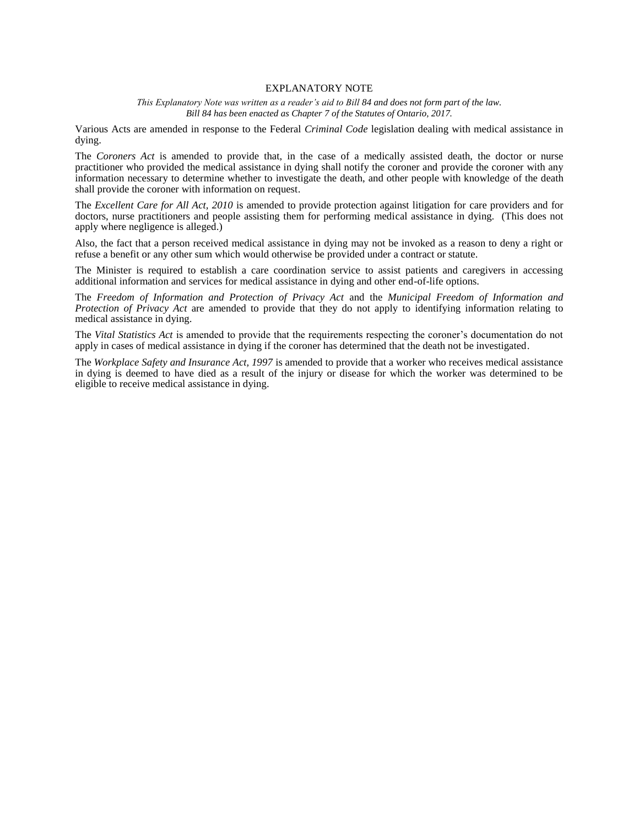#### EXPLANATORY NOTE

*This Explanatory Note was written as a reader's aid to Bill 84 and does not form part of the law. Bill 84 has been enacted as Chapter 7 of the Statutes of Ontario, 2017.*

Various Acts are amended in response to the Federal *Criminal Code* legislation dealing with medical assistance in dying.

The *Coroners Act* is amended to provide that, in the case of a medically assisted death, the doctor or nurse practitioner who provided the medical assistance in dying shall notify the coroner and provide the coroner with any information necessary to determine whether to investigate the death, and other people with knowledge of the death shall provide the coroner with information on request.

The *Excellent Care for All Act, 2010* is amended to provide protection against litigation for care providers and for doctors, nurse practitioners and people assisting them for performing medical assistance in dying. (This does not apply where negligence is alleged.)

Also, the fact that a person received medical assistance in dying may not be invoked as a reason to deny a right or refuse a benefit or any other sum which would otherwise be provided under a contract or statute.

The Minister is required to establish a care coordination service to assist patients and caregivers in accessing additional information and services for medical assistance in dying and other end-of-life options.

The *Freedom of Information and Protection of Privacy Act* and the *Municipal Freedom of Information and Protection of Privacy Act* are amended to provide that they do not apply to identifying information relating to medical assistance in dying.

The *Vital Statistics Act* is amended to provide that the requirements respecting the coroner's documentation do not apply in cases of medical assistance in dying if the coroner has determined that the death not be investigated.

The *Workplace Safety and Insurance Act, 1997* is amended to provide that a worker who receives medical assistance in dying is deemed to have died as a result of the injury or disease for which the worker was determined to be eligible to receive medical assistance in dying.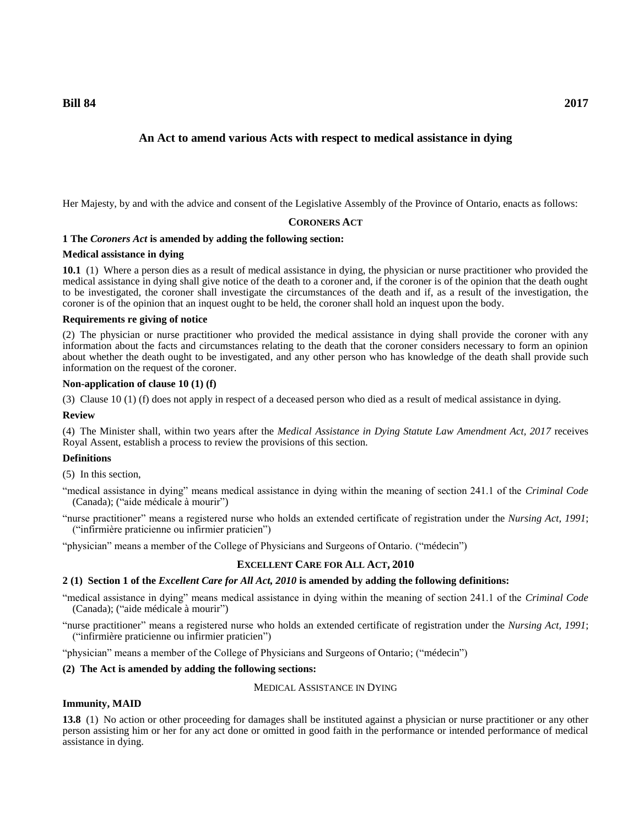**Bill 84 2017**

# **An Act to amend various Acts with respect to medical assistance in dying**

Her Majesty, by and with the advice and consent of the Legislative Assembly of the Province of Ontario, enacts as follows:

#### **CORONERS ACT**

# **1 The** *Coroners Act* **is amended by adding the following section:**

#### **Medical assistance in dying**

**10.1** (1) Where a person dies as a result of medical assistance in dying, the physician or nurse practitioner who provided the medical assistance in dying shall give notice of the death to a coroner and, if the coroner is of the opinion that the death ought to be investigated, the coroner shall investigate the circumstances of the death and if, as a result of the investigation, the coroner is of the opinion that an inquest ought to be held, the coroner shall hold an inquest upon the body.

#### **Requirements re giving of notice**

(2) The physician or nurse practitioner who provided the medical assistance in dying shall provide the coroner with any information about the facts and circumstances relating to the death that the coroner considers necessary to form an opinion about whether the death ought to be investigated, and any other person who has knowledge of the death shall provide such information on the request of the coroner.

## **Non-application of clause 10 (1) (f)**

(3) Clause 10 (1) (f) does not apply in respect of a deceased person who died as a result of medical assistance in dying.

#### **Review**

(4) The Minister shall, within two years after the *Medical Assistance in Dying Statute Law Amendment Act, 2017* receives Royal Assent, establish a process to review the provisions of this section.

#### **Definitions**

(5) In this section,

- "medical assistance in dying" means medical assistance in dying within the meaning of section 241.1 of the *Criminal Code* (Canada); ("aide médicale à mourir")
- "nurse practitioner" means a registered nurse who holds an extended certificate of registration under the *Nursing Act, 1991*; ("infirmière praticienne ou infirmier praticien")

"physician" means a member of the College of Physicians and Surgeons of Ontario. ("médecin")

#### **EXCELLENT CARE FOR ALL ACT, 2010**

#### **2 (1) Section 1 of the** *Excellent Care for All Act, 2010* **is amended by adding the following definitions:**

"medical assistance in dying" means medical assistance in dying within the meaning of section 241.1 of the *Criminal Code* (Canada); ("aide médicale à mourir")

"nurse practitioner" means a registered nurse who holds an extended certificate of registration under the *Nursing Act, 1991*; ("infirmière praticienne ou infirmier praticien")

"physician" means a member of the College of Physicians and Surgeons of Ontario; ("médecin")

#### **(2) The Act is amended by adding the following sections:**

#### MEDICAL ASSISTANCE IN DYING

#### **Immunity, MAID**

**13.8** (1) No action or other proceeding for damages shall be instituted against a physician or nurse practitioner or any other person assisting him or her for any act done or omitted in good faith in the performance or intended performance of medical assistance in dying.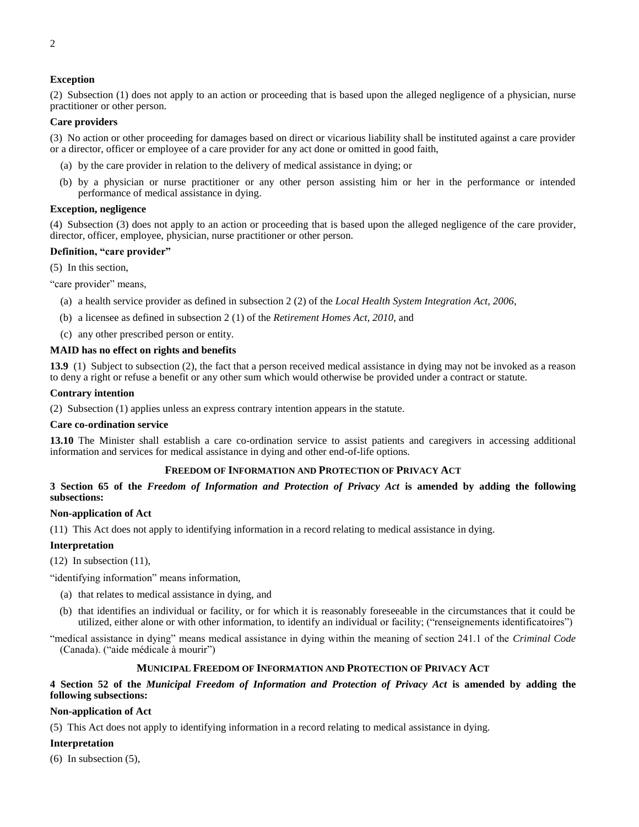#### **Exception**

(2) Subsection (1) does not apply to an action or proceeding that is based upon the alleged negligence of a physician, nurse practitioner or other person.

#### **Care providers**

(3) No action or other proceeding for damages based on direct or vicarious liability shall be instituted against a care provider or a director, officer or employee of a care provider for any act done or omitted in good faith,

- (a) by the care provider in relation to the delivery of medical assistance in dying; or
- (b) by a physician or nurse practitioner or any other person assisting him or her in the performance or intended performance of medical assistance in dying.

#### **Exception, negligence**

(4) Subsection (3) does not apply to an action or proceeding that is based upon the alleged negligence of the care provider, director, officer, employee, physician, nurse practitioner or other person.

#### **Definition, "care provider"**

(5) In this section,

"care provider" means,

- (a) a health service provider as defined in subsection 2 (2) of the *Local Health System Integration Act, 2006*,
- (b) a licensee as defined in subsection 2 (1) of the *Retirement Homes Act, 2010*, and
- (c) any other prescribed person or entity.

#### **MAID has no effect on rights and benefits**

**13.9** (1) Subject to subsection (2), the fact that a person received medical assistance in dying may not be invoked as a reason to deny a right or refuse a benefit or any other sum which would otherwise be provided under a contract or statute.

#### **Contrary intention**

(2) Subsection (1) applies unless an express contrary intention appears in the statute.

#### **Care co-ordination service**

**13.10** The Minister shall establish a care co-ordination service to assist patients and caregivers in accessing additional information and services for medical assistance in dying and other end-of-life options.

#### **FREEDOM OF INFORMATION AND PROTECTION OF PRIVACY ACT**

**3 Section 65 of the** *Freedom of Information and Protection of Privacy Act* **is amended by adding the following subsections:**

#### **Non-application of Act**

(11) This Act does not apply to identifying information in a record relating to medical assistance in dying.

#### **Interpretation**

 $(12)$  In subsection  $(11)$ ,

"identifying information" means information,

- (a) that relates to medical assistance in dying, and
- (b) that identifies an individual or facility, or for which it is reasonably foreseeable in the circumstances that it could be utilized, either alone or with other information, to identify an individual or facility; ("renseignements identificatoires")

"medical assistance in dying" means medical assistance in dying within the meaning of section 241.1 of the *Criminal Code*  (Canada). ("aide médicale à mourir")

#### **MUNICIPAL FREEDOM OF INFORMATION AND PROTECTION OF PRIVACY ACT**

#### **4 Section 52 of the** *Municipal Freedom of Information and Protection of Privacy Act* **is amended by adding the following subsections:**

#### **Non-application of Act**

(5) This Act does not apply to identifying information in a record relating to medical assistance in dying.

#### **Interpretation**

(6) In subsection (5),